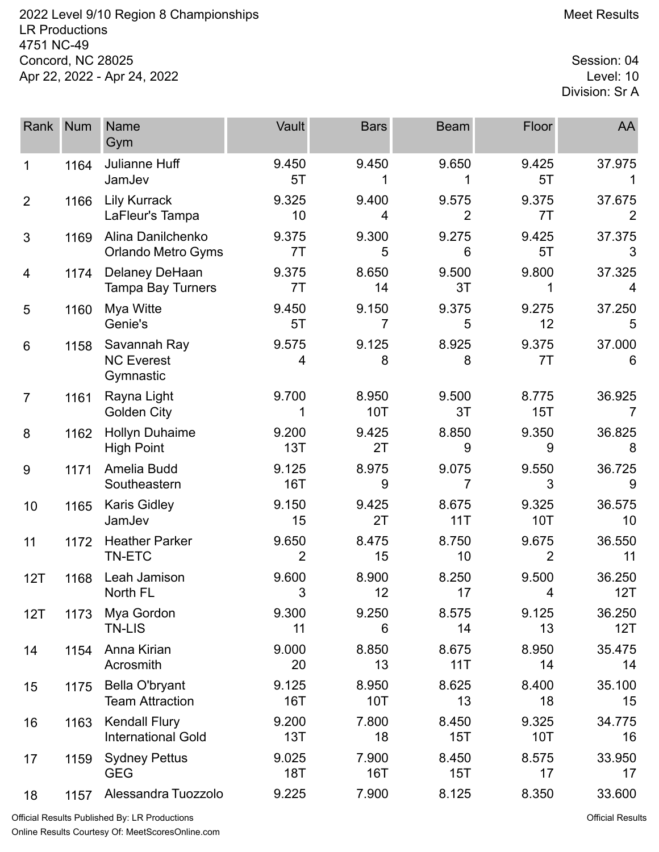2022 Level 9/10 Region 8 Championships **Meet Results** Meet Results LR Productions 4751 NC-49 Concord, NC 28025 Session: 04<br>Apr 22, 2022 - Apr 24, 2022 Apr 22, 2022 - Apr 24, 2022

Division: Sr A

| Rank           | <b>Num</b> | Name<br>Gym                                       | Vault                   | <b>Bars</b>         | <b>Beam</b>             | Floor                   | AA            |
|----------------|------------|---------------------------------------------------|-------------------------|---------------------|-------------------------|-------------------------|---------------|
| 1              | 1164       | Julianne Huff<br>JamJev                           | 9.450<br>5T             | 9.450               | 9.650                   | 9.425<br>5T             | 37.975        |
| $\overline{2}$ | 1166       | <b>Lily Kurrack</b><br>LaFleur's Tampa            | 9.325<br>10             | 9.400<br>4          | 9.575<br>$\overline{2}$ | 9.375<br>7T             | 37.675        |
| 3              | 1169       | Alina Danilchenko<br><b>Orlando Metro Gyms</b>    | 9.375<br>7T             | 9.300<br>5          | 9.275<br>6              | 9.425<br>5T             | 37.375<br>3   |
| 4              | 1174       | Delaney DeHaan<br><b>Tampa Bay Turners</b>        | 9.375<br>7T             | 8.650<br>14         | 9.500<br>3T             | 9.800<br>1              | 37.325<br>4   |
| 5              | 1160       | Mya Witte<br>Genie's                              | 9.450<br>5T             | 9.150<br>7          | 9.375<br>5              | 9.275<br>12             | 37.250<br>5   |
| 6              | 1158       | Savannah Ray<br><b>NC Everest</b><br>Gymnastic    | 9.575<br>4              | 9.125<br>8          | 8.925<br>8              | 9.375<br>7T             | 37.000<br>6   |
| $\overline{7}$ | 1161       | Rayna Light<br>Golden City                        | 9.700<br>1              | 8.950<br>10T        | 9.500<br>3T             | 8.775<br>15T            | 36.925<br>7   |
| 8              | 1162       | <b>Hollyn Duhaime</b><br><b>High Point</b>        | 9.200<br>13T            | 9.425<br>2T         | 8.850<br>9              | 9.350<br>9              | 36.825<br>8   |
| 9              | 1171       | Amelia Budd<br>Southeastern                       | 9.125<br><b>16T</b>     | 8.975<br>9          | 9.075<br>7              | 9.550<br>3              | 36.725<br>9   |
| 10             | 1165       | <b>Karis Gidley</b><br>JamJev                     | 9.150<br>15             | 9.425<br>2T         | 8.675<br>11T            | 9.325<br>10T            | 36.575<br>10  |
| 11             | 1172       | <b>Heather Parker</b><br>TN-ETC                   | 9.650<br>$\overline{2}$ | 8.475<br>15         | 8.750<br>10             | 9.675<br>$\overline{2}$ | 36.550<br>11  |
| 12T            | 1168       | Leah Jamison<br>North FL                          | 9.600<br>3              | 8.900<br>12         | 8.250<br>17             | 9.500<br>4              | 36.250<br>12T |
| 12T            | 1173       | Mya Gordon<br><b>TN-LIS</b>                       | 9.300<br>11             | 9.250<br>6          | 8.575<br>14             | 9.125<br>13             | 36.250<br>12T |
| 14             | 1154       | Anna Kirian<br>Acrosmith                          | 9.000<br>20             | 8.850<br>13         | 8.675<br>11T            | 8.950<br>14             | 35.475<br>14  |
| 15             | 1175       | Bella O'bryant<br><b>Team Attraction</b>          | 9.125<br><b>16T</b>     | 8.950<br>10T        | 8.625<br>13             | 8.400<br>18             | 35.100<br>15  |
| 16             | 1163       | <b>Kendall Flury</b><br><b>International Gold</b> | 9.200<br>13T            | 7.800<br>18         | 8.450<br>15T            | 9.325<br><b>10T</b>     | 34.775<br>16  |
| 17             | 1159       | <b>Sydney Pettus</b><br><b>GEG</b>                | 9.025<br>18T            | 7.900<br><b>16T</b> | 8.450<br>15T            | 8.575<br>17             | 33.950<br>17  |
| 18             | 1157       | Alessandra Tuozzolo                               | 9.225                   | 7.900               | 8.125                   | 8.350                   | 33.600        |

Official Results Published By: LR Productions Online Results Courtesy Of: [MeetScoresOnline.com](http://www.meetscoresonline.com)